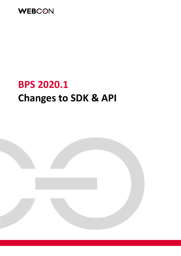

# **BPS 2020.1 Changes to SDK & API**

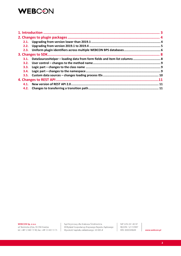## **WEBCON**

|  | 3.1. DataSourcesHelper - loading data from form fields and item list columns 8 |  |  |  |  |
|--|--------------------------------------------------------------------------------|--|--|--|--|
|  |                                                                                |  |  |  |  |
|  |                                                                                |  |  |  |  |
|  |                                                                                |  |  |  |  |
|  |                                                                                |  |  |  |  |
|  |                                                                                |  |  |  |  |
|  |                                                                                |  |  |  |  |
|  |                                                                                |  |  |  |  |
|  |                                                                                |  |  |  |  |

WEBCON Sp. z o.o.

ul. Skotnicka 252a, 30-394 Kraków tel: +48 12 443 13 90, fax: +48 12 443 13 75

Sąd Rejonowy dla Krakowa Śródmieścia XI Wydział Gospodarczy Krajowego Rejestru Sądowego Wysokość kapitału zakładowego: 50 000 zł

NIP: 676-241-40-97 REGON: 121153997 KRS: 0000349649

www.webcon.pl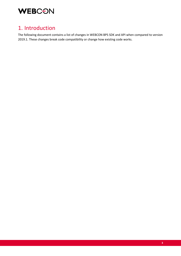

### 1. Introduction

The following document contains a list of changes in WEBCON BPS SDK and API when compared to version 2019.1. These changes break code compatibility or change how existing code works.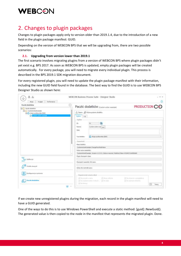## **WEBC: ON**

## 2. Changes to plugin packages

Changes to plugin packages apply only to version older than 2019.1.4, due to the introduction of a new field in the plugin package manifest: GUID.

Depending on the version of WEBCON BPS that we will be upgrading from, there are two possible scenarios:

### **2.1. Upgrading from version lower than 2019.1**

The first scenario involves migrating plugins from a version of WEBCON BPS where plugin packages didn't yet exist e.g. BPS 2017. As soon as WEBCON BPS is updated, empty plugin packages will be created automatically. For every package, you will need to migrate every individual plugin. This process is described in the BPS 2019.1 SDK migration document.

For every registered plugin, you will need to update the plugin package manifest with their information, including the new GUID field found in the database. The best way to find the GUID is to use WEBCON BPS Designer Studio as shown here:

| 2.<br>Performance<br>Wyglad<br>Akcie                                                                                                      | WEBCON Business Process Suite - Designer Studio                                                     | $-17.26$<br>⋒                                                                                     |  |  |  |  |  |
|-------------------------------------------------------------------------------------------------------------------------------------------|-----------------------------------------------------------------------------------------------------|---------------------------------------------------------------------------------------------------|--|--|--|--|--|
| Paczki dodatków<br><b>CD 5</b> Paczia dodatków<br>Co CustomActonExample<br>(3) (b) Akcje uzytkownika (SDK)<br><b>Column actor exemple</b> | €<br>Paczki dodatków (Custom action example)<br>Zepisz D Wykorzystanie dodatku<br>Cigatine  <br>Log | PRODUCTION CO                                                                                     |  |  |  |  |  |
|                                                                                                                                           | Oppline<br>ß.<br>91<br>ID:<br>Custom action exal Guid<br>Namisc<br>Opis:                            |                                                                                                   |  |  |  |  |  |
|                                                                                                                                           | Zawartość<br>Kless dodatku:<br>CustomActionExample.ChangeFormFieldValue<br>Petra nazwa assembly:    | E) Akça uzytkovinka (SDK)<br>Typ dodatkut                                                         |  |  |  |  |  |
| a Antikucje<br>크림<br>Zródła danych                                                                                                        | Plugn sharepoint dass:<br>Shareport assembly full name:<br>Adres LFLL kontrolid agcy:               | CustomActonDxemple, Version = 1.0.0.0, Culture=meutral, PublicKeyToken=91b4d131e0682eb8<br>$\sim$ |  |  |  |  |  |
| Konfiguracja systemu                                                                                                                      | Organizzenie użycia akcji<br>(2) Airprophens<br>SA Na posybik in earna.                             | SPI Na attwarpe w przeglądnicz                                                                    |  |  |  |  |  |
| Poccki dodatków                                                                                                                           | SP News produced by collaborate for Management CP, This prepare<br>GPI flat fremmatt<br>$\sim$      | 12 Ibi suprande plannella<br>(D)<br>Testus                                                        |  |  |  |  |  |

If we create new unregistered plugins during the migration, each record in the plugin manifest will need to have a GUID generated.

One of the ways to do this is to use Windows PowerShell and execute a static method: [guid]::NewGuid(). The generated value is then copied to the node in the manifest that represents the migrated plugin. Done.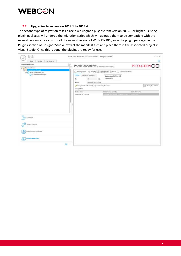

### **2.2. Upgrading from version 2019.1 to 2019.4**

The second type of migration takes place if we upgrade plugins from version 2019.1 or higher. Existing plugin packages will undergo the migration script which will upgrade them to be compatible with the newest version. Once you install the newest version of WEBCON BPS, save the plugin packages in the Plugins section of Designer Studio, extract the manifest files and place them in the associated project in Visual Studio. Once this is done, the plugins are ready for use.

| 초요<br>Performance<br>Akcse<br>Wygled                                                                 | WEBCON Business Process Suite - Designer Studio |                                       |                                                                         |                                                                                                                      |  | $ \Box$ $\times$<br>⊕ |
|------------------------------------------------------------------------------------------------------|-------------------------------------------------|---------------------------------------|-------------------------------------------------------------------------|----------------------------------------------------------------------------------------------------------------------|--|-----------------------|
| ⊕<br>Paczki dodatków<br><b>Co L</b> Pacak doctation                                                  |                                                 | Paczki dodatków (CustomActionExample) |                                                                         |                                                                                                                      |  | PRODUCTION CO         |
| <b>Sight Content for Contract</b><br>@ K.) Akoje uzytkovnika (SDK)<br><b>C</b> Custom action example | Ogiline<br>IDs                                  | Zawartość manifestu<br>$\gg$          | 陷                                                                       | Co Nowa paczka   1) Wczytaj C Zapisz paczki   Ubuń (2) Poblacz zawartość<br>Zapisz paczki (Ctrl+S)<br>Zienist paczki |  |                       |
|                                                                                                      | Nagyval<br>Package files:                       |                                       | CustomActionExemple<br>Wazystłie dodatki zostały poprawne zweryfikowane |                                                                                                                      |  | D. Jwwyfku) dodatki   |
|                                                                                                      | Namna piku:<br>CustomActionExample              |                                       |                                                                         | Zaktuakmowne<br>Pelna nama assembly<br>fate-kinderen, femmetnoc distant                                              |  |                       |
| <b>Cap Aplikacje</b>                                                                                 |                                                 |                                       |                                                                         |                                                                                                                      |  |                       |
| 결<br>Žirádta damych<br><b>B</b> Konfiguracju systemu                                                 |                                                 |                                       |                                                                         |                                                                                                                      |  |                       |
| Paccio dodatiolw                                                                                     |                                                 |                                       |                                                                         |                                                                                                                      |  |                       |
| Silla<br>$\rightarrow$                                                                               |                                                 |                                       |                                                                         |                                                                                                                      |  |                       |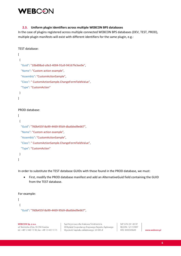

### **2.3. Uniform plugin identifiers across multiple WEBCON BPS databases**

In the case of plugins registered across multiple connected WEBCON BPS databases (DEV, TEST, PROD), multiple plugin manifests will exist with different identifiers for the same plugin, e.g.:

```
TEST database:
```

```
\overline{[} {
   "Guid": "10bd08ad-a9a3-4004-91a9-94167fe3ee9e",
   "Name": "Custom action example",
   "Assembly": "CustomActionSample",
   "Class": " CustomActionSample.ChangeFormFieldValue",
   "Type": "CustomAction"
  }
]
```
### PROD database:

```
\overline{a} {
   "Guid": "760b455f-8a99-4469-95b9-dba0ded9e667",
   "Name": "Custom action example",
   "Assembly": "CustomActionSample",
   "Class": " CustomActionSample.ChangeFormFieldValue",
   "Type": "CustomAction"
  }
]
```
In order to substitute the TEST database GUIDs with those found in the PROD database, we must:

• First, modify the PROD database manifest and add an AlternativeGuid field containing the GUID from the TEST database.

```
For example:
```

```
\overline{[} {
   "Guid": "760b455f-8a99-4469-95b9-dba0ded9e667",
```
WEBCON Sp. z o.o. ul. Skotnicka 252a, 30-394 Kraków tel: +48 12 443 13 90, fax: +48 12 443 13 75

Sąd Rejonowy dla Krakowa Śródmieścia XI Wydział Gospodarczy Krajowego Rejestru Sądowego Wysokość kapitału zakładowego: 50 000 zł

NIP: 676-241-40-97 REGON: 121153997 KRS: 0000349649

www.webcon.pl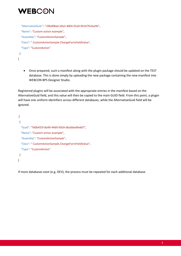

```
 "AlternativeGuid ": "10bd08ad-a9a3-4004-91a9-94167fe3ee9e",
   "Name": "Custom action example",
   "Assembly": "CustomActionSample",
   "Class": " CustomActionSample.ChangeFormFieldValue",
   "Type": "CustomAction"
  }
\overline{1}
```
• Once prepared, such a manifest along with the plugin package should be updated on the TEST database. This is done simply by uploading the new package containing the new manifest into WEBCON BPS Designer Studio.

Registered plugins will be associated with the appropriate entries in the manifest based on the AlternativeGuid field, and this value will then be copied to the main GUID field. From this point, a plugin will have one uniform identifiers across different databases, while the AlternativeGuid field will be ignored.

```
\Gamma {
   "Guid": "760b455f-8a99-4469-95b9-dba0ded9e667",
   "Name": "Custom action example",
   "Assembly": "CustomActionSample",
   "Class": " CustomActionSample.ChangeFormFieldValue",
   "Type": "CustomAction"
  }
]
```
If more databases exist (e.g. DEV), the process must be repeated for each additional database.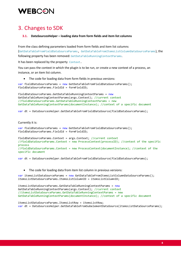## **WEBCOI**

### 3. Changes to SDK

### **3.1. DataSourcesHelper – loading data from form fields and item list columns**

From the class defining parameters loaded from form fields and item list columns (GetDataTableFromFieldDataSourceParams, GetDataTableFromItemsListColumnDataSourceParams), the following property has been removed: GetDataTableRunningContextParams.

It has been replaced by the property Context.

You can pass the context in which the plugin is to be run, or create a new context of a process, an instance, or an item list column.

• The code for loading data from form fields in previous versions:

```
var fieldDataSourceParams = new GetDataTableFromFieldDataSourceParams();
fieldDataSourceParams.FieldId = formFieldID;
```

```
fieldDataSourceParams.GetDataTableRunningContextParams = new
GetDataTableRunningContextParams(args.Context); //current context
//fieldDataSourceParams.GetDataTableRunningContextParams = new 
GetDataTableRunningContextParams(documentInstance); //context of a specific document
```
var dt = DataSourcesHelper.GetDataTableFromFieldDataSource(fieldDataSourceParams);

Currently it is:

```
var fieldDataSourceParams = new GetDataTableFromFieldDataSourceParams();
fieldDataSourceParams.FieldId = formFieldID;
```

```
fieldDataSourceParams.Context = args.Context; //current context
//fieldDataSourceParams.Context = new ProcessContext(processID); //context of the specific 
process
//fieldDataSourceParams.Context = new ProcessContext(documentInstance); //context of the 
specific document
```
var dt = DataSourcesHelper.GetDataTableFromFieldDataSource(fieldDataSourceParams);

• The code for loading data from item list column in previous versions:

var itemsListDataSourceParams = new GetDataTableFromItemsListColumnDataSourceParams(); itemsListDataSourceParams.ItemsListColumnID = itemsListColumnID;

```
itemsListDataSourceParams.GetDataTableRunningContextParams = new
GetDataTableRunningContextParams(args.Context); //current context
//itemsListDataSourceParams.GetDataTableRunningContextParams = new 
GetDataTableRunningContextParams(documentInstance); //context of a specific document
```
itemsListDataSourceParams.ItemsListRow = itemsListRow; var dt = DataSourcesHelper.GetDataTableFromSubelementDataSource(itemsListDataSourceParams);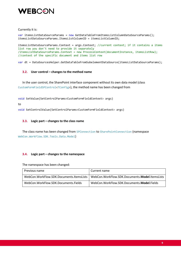

Currently it is:

```
var itemsListDataSourceParams = new GetDataTableFromItemsListColumnDataSourceParams();
itemsListDataSourceParams.ItemsListColumnID = itemsListColumnID;
itemsListDataSourceParams.Context = args.Context; //current context; if it contains a items 
list row you don't need to provide it separately
/itemsListDataSourceParams.Context = new ProcessContext(documentInstance, itemsListRow); 
//context of the specific document and items list row
```
var dt = DataSourcesHelper.GetDataTableFromSubelementDataSource(itemsListDataSourceParams);

### **3.2. User control – changes to the method name**

In the user control, the SharePoint interface component without its own data model (class CustomFormFieldSPControl<TConfig>), the method name has been changed from

void SetValue(SetControlParams<CustomFormFieldContext> args)

to

void SetControlValue(SetControlParams<CustomFormFieldContext> args)

### **3.3. Logic part – changes to the class name**

The class name has been changed from SPConnection to SharePointConnection (namespace WebCon.WorkFlow.SDK.Tools.Data.Model)

#### **3.4. Logic part – changes to the namespace**

The namespace has been changed:

| Previous name                            | Current name                                   |
|------------------------------------------|------------------------------------------------|
| WebCon.WorkFlow.SDK.Documents.ItemsLists | WebCon.WorkFlow.SDK.Documents.Model.ItemsLists |
| WebCon.WorkFlow.SDK.Documents.Fields     | WebCon.WorkFlow.SDK.Documents.Model.Fields     |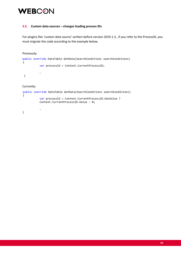

### **3.5. Custom data sources – changes loading process IDs**

For plugins like 'custom data source' written before version 2019.1.3., if you refer to the ProcessID, you must migrate the code according to the example below.

Previously:

```
public override DataTable GetData(SearchConditions searchConditions)
   {
            var processId = Context.CurrentProcessID;
 …
   }
```
Currently:

…

```
 public override DataTable GetData(SearchConditions searchConditions)
 {
          var processId = Context.CurrentProcessID.HasValue ? 
          Context.CurrentProcessID.Value : 0;
```
}